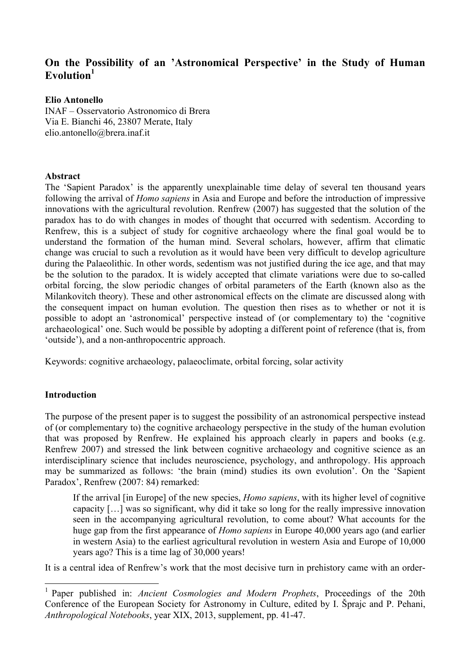# **On the Possibility of an 'Astronomical Perspective' in the Study of Human Evolution<sup>1</sup>**

# **Elio Antonello**

INAF – Osservatorio Astronomico di Brera Via E. Bianchi 46, 23807 Merate, Italy elio.antonello@brera.inaf.it

### **Abstract**

The 'Sapient Paradox' is the apparently unexplainable time delay of several ten thousand years following the arrival of *Homo sapiens* in Asia and Europe and before the introduction of impressive innovations with the agricultural revolution. Renfrew (2007) has suggested that the solution of the paradox has to do with changes in modes of thought that occurred with sedentism. According to Renfrew, this is a subject of study for cognitive archaeology where the final goal would be to understand the formation of the human mind. Several scholars, however, affirm that climatic change was crucial to such a revolution as it would have been very difficult to develop agriculture during the Palaeolithic. In other words, sedentism was not justified during the ice age, and that may be the solution to the paradox. It is widely accepted that climate variations were due to so-called orbital forcing, the slow periodic changes of orbital parameters of the Earth (known also as the Milankovitch theory). These and other astronomical effects on the climate are discussed along with the consequent impact on human evolution. The question then rises as to whether or not it is possible to adopt an 'astronomical' perspective instead of (or complementary to) the 'cognitive archaeological' one. Such would be possible by adopting a different point of reference (that is, from 'outside'), and a non-anthropocentric approach.

Keywords: cognitive archaeology, palaeoclimate, orbital forcing, solar activity

# **Introduction**

The purpose of the present paper is to suggest the possibility of an astronomical perspective instead of (or complementary to) the cognitive archaeology perspective in the study of the human evolution that was proposed by Renfrew. He explained his approach clearly in papers and books (e.g. Renfrew 2007) and stressed the link between cognitive archaeology and cognitive science as an interdisciplinary science that includes neuroscience, psychology, and anthropology. His approach may be summarized as follows: 'the brain (mind) studies its own evolution'. On the 'Sapient Paradox', Renfrew (2007: 84) remarked:

If the arrival [in Europe] of the new species, *Homo sapiens*, with its higher level of cognitive capacity […] was so significant, why did it take so long for the really impressive innovation seen in the accompanying agricultural revolution, to come about? What accounts for the huge gap from the first appearance of *Homo sapiens* in Europe 40,000 years ago (and earlier in western Asia) to the earliest agricultural revolution in western Asia and Europe of 10,000 years ago? This is a time lag of 30,000 years!

It is a central idea of Renfrew's work that the most decisive turn in prehistory came with an order-

<sup>&</sup>lt;sup>1</sup> Paper published in: *Ancient Cosmologies and Modern Prophets*. Proceedings of the 20th Conference of the European Society for Astronomy in Culture, edited by I. Šprajc and P. Pehani, *Anthropological Notebooks*, year XIX, 2013, supplement, pp. 41-47.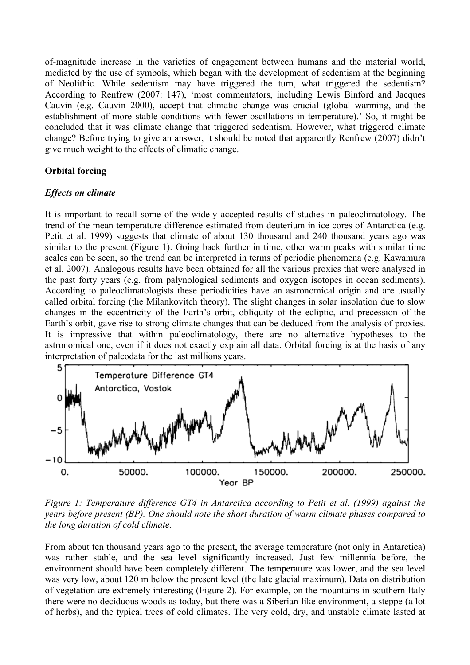of-magnitude increase in the varieties of engagement between humans and the material world, mediated by the use of symbols, which began with the development of sedentism at the beginning of Neolithic. While sedentism may have triggered the turn, what triggered the sedentism? According to Renfrew (2007: 147), 'most commentators, including Lewis Binford and Jacques Cauvin (e.g. Cauvin 2000), accept that climatic change was crucial (global warming, and the establishment of more stable conditions with fewer oscillations in temperature).' So, it might be concluded that it was climate change that triggered sedentism. However, what triggered climate change? Before trying to give an answer, it should be noted that apparently Renfrew (2007) didn't give much weight to the effects of climatic change.

# **Orbital forcing**

# *Effects on climate*

It is important to recall some of the widely accepted results of studies in paleoclimatology. The trend of the mean temperature difference estimated from deuterium in ice cores of Antarctica (e.g. Petit et al. 1999) suggests that climate of about 130 thousand and 240 thousand years ago was similar to the present (Figure 1). Going back further in time, other warm peaks with similar time scales can be seen, so the trend can be interpreted in terms of periodic phenomena (e.g. Kawamura et al. 2007). Analogous results have been obtained for all the various proxies that were analysed in the past forty years (e.g. from palynological sediments and oxygen isotopes in ocean sediments). According to paleoclimatologists these periodicities have an astronomical origin and are usually called orbital forcing (the Milankovitch theory). The slight changes in solar insolation due to slow changes in the eccentricity of the Earth's orbit, obliquity of the ecliptic, and precession of the Earth's orbit, gave rise to strong climate changes that can be deduced from the analysis of proxies. It is impressive that within paleoclimatology, there are no alternative hypotheses to the astronomical one, even if it does not exactly explain all data. Orbital forcing is at the basis of any interpretation of paleodata for the last millions years.



*Figure 1: Temperature difference GT4 in Antarctica according to Petit et al. (1999) against the years before present (BP). One should note the short duration of warm climate phases compared to the long duration of cold climate.*

From about ten thousand years ago to the present, the average temperature (not only in Antarctica) was rather stable, and the sea level significantly increased. Just few millennia before, the environment should have been completely different. The temperature was lower, and the sea level was very low, about 120 m below the present level (the late glacial maximum). Data on distribution of vegetation are extremely interesting (Figure 2). For example, on the mountains in southern Italy there were no deciduous woods as today, but there was a Siberian-like environment, a steppe (a lot of herbs), and the typical trees of cold climates. The very cold, dry, and unstable climate lasted at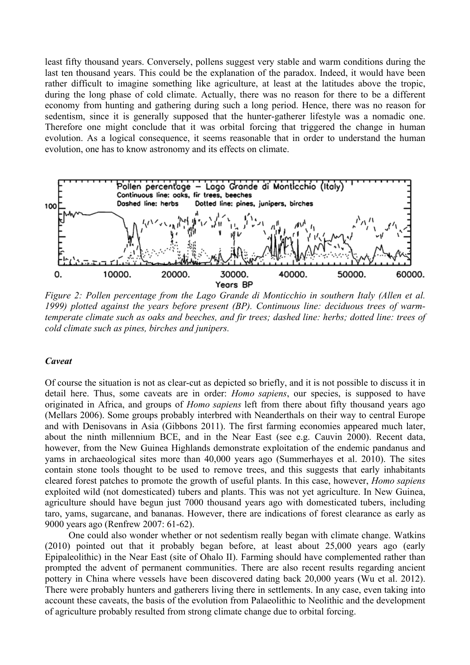least fifty thousand years. Conversely, pollens suggest very stable and warm conditions during the last ten thousand years. This could be the explanation of the paradox. Indeed, it would have been rather difficult to imagine something like agriculture, at least at the latitudes above the tropic, during the long phase of cold climate. Actually, there was no reason for there to be a different economy from hunting and gathering during such a long period. Hence, there was no reason for sedentism, since it is generally supposed that the hunter-gatherer lifestyle was a nomadic one. Therefore one might conclude that it was orbital forcing that triggered the change in human evolution. As a logical consequence, it seems reasonable that in order to understand the human evolution, one has to know astronomy and its effects on climate.



*Figure 2: Pollen percentage from the Lago Grande di Monticchio in southern Italy (Allen et al. 1999) plotted against the years before present (BP). Continuous line: deciduous trees of warmtemperate climate such as oaks and beeches, and fir trees; dashed line: herbs; dotted line: trees of cold climate such as pines, birches and junipers.*

#### *Caveat*

Of course the situation is not as clear-cut as depicted so briefly, and it is not possible to discuss it in detail here. Thus, some caveats are in order: *Homo sapiens*, our species, is supposed to have originated in Africa, and groups of *Homo sapiens* left from there about fifty thousand years ago (Mellars 2006). Some groups probably interbred with Neanderthals on their way to central Europe and with Denisovans in Asia (Gibbons 2011). The first farming economies appeared much later, about the ninth millennium BCE, and in the Near East (see e.g. Cauvin 2000). Recent data, however, from the New Guinea Highlands demonstrate exploitation of the endemic pandanus and yams in archaeological sites more than 40,000 years ago (Summerhayes et al. 2010). The sites contain stone tools thought to be used to remove trees, and this suggests that early inhabitants cleared forest patches to promote the growth of useful plants. In this case, however, *Homo sapiens*  exploited wild (not domesticated) tubers and plants. This was not yet agriculture. In New Guinea, agriculture should have begun just 7000 thousand years ago with domesticated tubers, including taro, yams, sugarcane, and bananas. However, there are indications of forest clearance as early as 9000 years ago (Renfrew 2007: 61-62).

 One could also wonder whether or not sedentism really began with climate change. Watkins (2010) pointed out that it probably began before, at least about 25,000 years ago (early Epipaleolithic) in the Near East (site of Ohalo II). Farming should have complemented rather than prompted the advent of permanent communities. There are also recent results regarding ancient pottery in China where vessels have been discovered dating back 20,000 years (Wu et al. 2012). There were probably hunters and gatherers living there in settlements. In any case, even taking into account these caveats, the basis of the evolution from Palaeolithic to Neolithic and the development of agriculture probably resulted from strong climate change due to orbital forcing.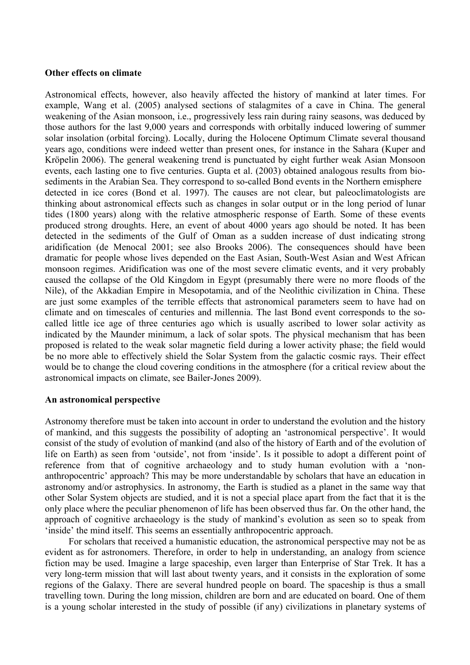### **Other effects on climate**

Astronomical effects, however, also heavily affected the history of mankind at later times. For example, Wang et al. (2005) analysed sections of stalagmites of a cave in China. The general weakening of the Asian monsoon, i.e., progressively less rain during rainy seasons, was deduced by those authors for the last 9,000 years and corresponds with orbitally induced lowering of summer solar insolation (orbital forcing). Locally, during the Holocene Optimum Climate several thousand years ago, conditions were indeed wetter than present ones, for instance in the Sahara (Kuper and Kröpelin 2006). The general weakening trend is punctuated by eight further weak Asian Monsoon events, each lasting one to five centuries. Gupta et al. (2003) obtained analogous results from biosediments in the Arabian Sea. They correspond to so-called Bond events in the Northern emisphere detected in ice cores (Bond et al. 1997). The causes are not clear, but paleoclimatologists are thinking about astronomical effects such as changes in solar output or in the long period of lunar tides (1800 years) along with the relative atmospheric response of Earth. Some of these events produced strong droughts. Here, an event of about 4000 years ago should be noted. It has been detected in the sediments of the Gulf of Oman as a sudden increase of dust indicating strong aridification (de Menocal 2001; see also Brooks 2006). The consequences should have been dramatic for people whose lives depended on the East Asian, South-West Asian and West African monsoon regimes. Aridification was one of the most severe climatic events, and it very probably caused the collapse of the Old Kingdom in Egypt (presumably there were no more floods of the Nile), of the Akkadian Empire in Mesopotamia, and of the Neolithic civilization in China. These are just some examples of the terrible effects that astronomical parameters seem to have had on climate and on timescales of centuries and millennia. The last Bond event corresponds to the socalled little ice age of three centuries ago which is usually ascribed to lower solar activity as indicated by the Maunder minimum, a lack of solar spots. The physical mechanism that has been proposed is related to the weak solar magnetic field during a lower activity phase; the field would be no more able to effectively shield the Solar System from the galactic cosmic rays. Their effect would be to change the cloud covering conditions in the atmosphere (for a critical review about the astronomical impacts on climate, see Bailer-Jones 2009).

#### **An astronomical perspective**

Astronomy therefore must be taken into account in order to understand the evolution and the history of mankind, and this suggests the possibility of adopting an 'astronomical perspective'. It would consist of the study of evolution of mankind (and also of the history of Earth and of the evolution of life on Earth) as seen from 'outside', not from 'inside'. Is it possible to adopt a different point of reference from that of cognitive archaeology and to study human evolution with a 'nonanthropocentric' approach? This may be more understandable by scholars that have an education in astronomy and/or astrophysics. In astronomy, the Earth is studied as a planet in the same way that other Solar System objects are studied, and it is not a special place apart from the fact that it is the only place where the peculiar phenomenon of life has been observed thus far. On the other hand, the approach of cognitive archaeology is the study of mankind's evolution as seen so to speak from 'inside' the mind itself. This seems an essentially anthropocentric approach.

 For scholars that received a humanistic education, the astronomical perspective may not be as evident as for astronomers. Therefore, in order to help in understanding, an analogy from science fiction may be used. Imagine a large spaceship, even larger than Enterprise of Star Trek. It has a very long-term mission that will last about twenty years, and it consists in the exploration of some regions of the Galaxy. There are several hundred people on board. The spaceship is thus a small travelling town. During the long mission, children are born and are educated on board. One of them is a young scholar interested in the study of possible (if any) civilizations in planetary systems of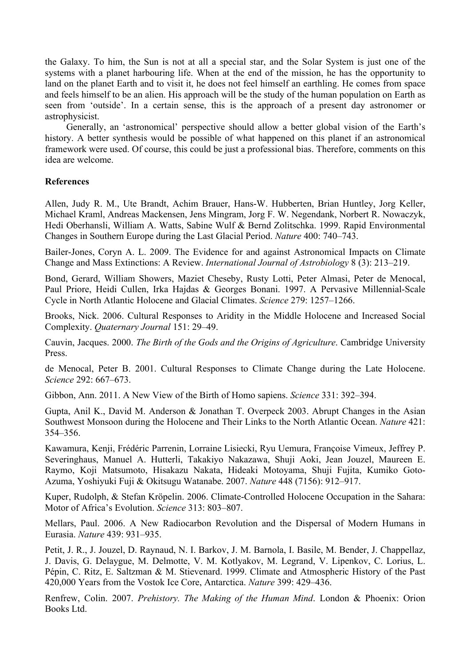the Galaxy. To him, the Sun is not at all a special star, and the Solar System is just one of the systems with a planet harbouring life. When at the end of the mission, he has the opportunity to land on the planet Earth and to visit it, he does not feel himself an earthling. He comes from space and feels himself to be an alien. His approach will be the study of the human population on Earth as seen from 'outside'. In a certain sense, this is the approach of a present day astronomer or astrophysicist.

 Generally, an 'astronomical' perspective should allow a better global vision of the Earth's history. A better synthesis would be possible of what happened on this planet if an astronomical framework were used. Of course, this could be just a professional bias. Therefore, comments on this idea are welcome.

# **References**

Allen, Judy R. M., Ute Brandt, Achim Brauer, Hans-W. Hubberten, Brian Huntley, Jorg Keller, Michael Kraml, Andreas Mackensen, Jens Mingram, Jorg F. W. Negendank, Norbert R. Nowaczyk, Hedi Oberhansli, William A. Watts, Sabine Wulf & Bernd Zolitschka. 1999. Rapid Environmental Changes in Southern Europe during the Last Glacial Period. *Nature* 400: 740–743.

Bailer-Jones, Coryn A. L. 2009. The Evidence for and against Astronomical Impacts on Climate Change and Mass Extinctions: A Review. *International Journal of Astrobiology* 8 (3): 213–219.

Bond, Gerard, William Showers, Maziet Cheseby, Rusty Lotti, Peter Almasi, Peter de Menocal, Paul Priore, Heidi Cullen, Irka Hajdas & Georges Bonani. 1997. A Pervasive Millennial-Scale Cycle in North Atlantic Holocene and Glacial Climates. *Science* 279: 1257–1266.

Brooks, Nick. 2006. Cultural Responses to Aridity in the Middle Holocene and Increased Social Complexity. *Quaternary Journal* 151: 29–49.

Cauvin, Jacques. 2000. *The Birth of the Gods and the Origins of Agriculture*. Cambridge University Press.

de Menocal, Peter B. 2001. Cultural Responses to Climate Change during the Late Holocene. *Science* 292: 667–673.

Gibbon, Ann. 2011. A New View of the Birth of Homo sapiens. *Science* 331: 392–394.

Gupta, Anil K., David M. Anderson & Jonathan T. Overpeck 2003. Abrupt Changes in the Asian Southwest Monsoon during the Holocene and Their Links to the North Atlantic Ocean. *Nature* 421: 354–356.

Kawamura, Kenji, Frédéric Parrenin, Lorraine Lisiecki, Ryu Uemura, Françoise Vimeux, Jeffrey P. Severinghaus, Manuel A. Hutterli, Takakiyo Nakazawa, Shuji Aoki, Jean Jouzel, Maureen E. Raymo, Koji Matsumoto, Hisakazu Nakata, Hideaki Motoyama, Shuji Fujita, Kumiko Goto-Azuma, Yoshiyuki Fuji & Okitsugu Watanabe. 2007. *Nature* 448 (7156): 912–917.

Kuper, Rudolph, & Stefan Kröpelin. 2006. Climate-Controlled Holocene Occupation in the Sahara: Motor of Africa's Evolution. *Science* 313: 803–807.

Mellars, Paul. 2006. A New Radiocarbon Revolution and the Dispersal of Modern Humans in Eurasia. *Nature* 439: 931–935.

Petit, J. R., J. Jouzel, D. Raynaud, N. I. Barkov, J. M. Barnola, I. Basile, M. Bender, J. Chappellaz, J. Davis, G. Delaygue, M. Delmotte, V. M. Kotlyakov, M. Legrand, V. Lipenkov, C. Lorius, L. Pépin, C. Ritz, E. Saltzman & M. Stievenard. 1999. Climate and Atmospheric History of the Past 420,000 Years from the Vostok Ice Core, Antarctica. *Nature* 399: 429–436.

Renfrew, Colin. 2007. *Prehistory. The Making of the Human Mind*. London & Phoenix: Orion Books Ltd.